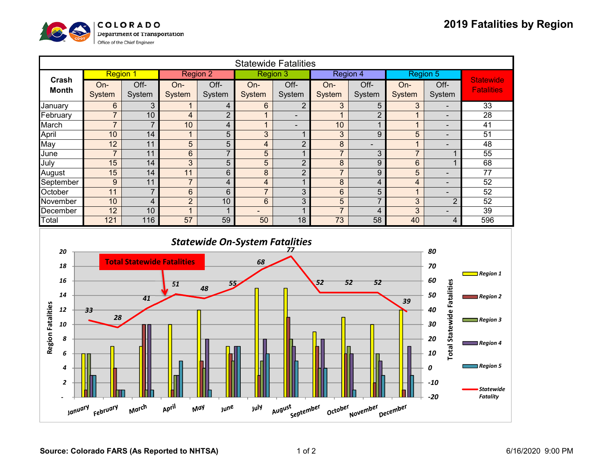

| <b>Statewide Fatalities</b>                       |                 |                |                |                          |                          |                          |                |                |                |                          |                                       |
|---------------------------------------------------|-----------------|----------------|----------------|--------------------------|--------------------------|--------------------------|----------------|----------------|----------------|--------------------------|---------------------------------------|
| Crash<br><b>Month</b>                             | <b>Region 1</b> |                | Region 2       |                          | <b>Region 3</b>          |                          | Region 4       |                | Region 5       |                          |                                       |
|                                                   | On-             | Off-           | $On-$          | Off-                     | On-                      | Off-                     | $On-$          | Off-           | On-            | Off-                     | <b>Statewide</b><br><b>Fatalities</b> |
|                                                   | System          | System         | System         | System                   | System                   | System                   | <b>System</b>  | System         | System         | System                   |                                       |
| January                                           | 6               | 3              |                | 4                        | 6                        | 2                        | 3              | 5              | 3              |                          | 33                                    |
| February                                          | $\overline{7}$  | 10             | 4              | $\overline{2}$           | $\overline{A}$           | $\overline{\phantom{0}}$ | $\overline{1}$ | $\overline{2}$ |                |                          | 28                                    |
| March                                             | $\overline{z}$  | $\overline{ }$ | 10             | 4                        | $\mathbf 1$              |                          | 10             |                |                |                          | 41                                    |
| April                                             | 10              | 14             | 1              | 5                        | 3                        | 1                        | 3              | 9              | 5              | $\overline{\phantom{0}}$ | 51                                    |
| May                                               | 12              | 11             | 5              | 5                        | 4                        | $\overline{2}$           | 8              |                | 1              |                          | 48                                    |
| June                                              | $\overline{7}$  | 11             | 6              | $\overline{7}$           | 5                        | $\overline{\mathbf{A}}$  | $\overline{7}$ | 3              | $\overline{7}$ |                          | 55                                    |
| July                                              | 15              | 14             | 3              | 5                        | 5                        | $\overline{2}$           | 8              | 9              | 6              |                          | 68                                    |
| August                                            | 15              | 14             | 11             | 6                        | 8                        | $\overline{2}$           | $\overline{7}$ | 9              | 5              |                          | 77                                    |
| September                                         | 9               | 11             | $\overline{7}$ | 4                        | 4                        | $\overline{ }$           | 8              | 4              | 4              |                          | 52                                    |
| October                                           | 11              | $\overline{7}$ | 6              | 6                        | $\overline{7}$           | 3                        | 6              | 5              | 1              |                          | 52                                    |
| November                                          | 10              | 4              | $\overline{2}$ | 10                       | 6                        | 3                        | 5              | 7              | 3              | $\overline{2}$           | 52                                    |
| December                                          | 12              | 10             | $\overline{A}$ | $\overline{\phantom{a}}$ | $\overline{\phantom{a}}$ | $\overline{\mathbf{A}}$  | $\overline{7}$ | 4              | 3              | -                        | 39                                    |
| Total                                             | 121             | 116            | 57             | 59                       | 50                       | 18                       | 73             | 58             | 40             | 4                        | 596                                   |
| <b>Statewide On-System Fatalities</b><br>20<br>80 |                 |                |                |                          |                          |                          |                |                |                |                          |                                       |